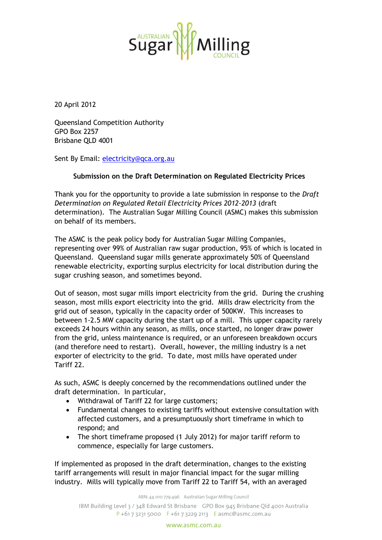

20 April 2012

Queensland Competition Authority GPO Box 2257 Brisbane QLD 4001

Sent By Email: electricity@qca.org.au

## **Submission on the Draft Determination on Regulated Electricity Prices**

Thank you for the opportunity to provide a late submission in response to the *Draft Determination on Regulated Retail Electricity Prices 2012-2013* (draft determination). The Australian Sugar Milling Council (ASMC) makes this submission on behalf of its members.

The ASMC is the peak policy body for Australian Sugar Milling Companies, representing over 99% of Australian raw sugar production, 95% of which is located in Queensland. Queensland sugar mills generate approximately 50% of Queensland renewable electricity, exporting surplus electricity for local distribution during the sugar crushing season, and sometimes beyond.

Out of season, most sugar mills import electricity from the grid. During the crushing season, most mills export electricity into the grid. Mills draw electricity from the grid out of season, typically in the capacity order of 500KW. This increases to between 1-2.5 MW capacity during the start up of a mill. This upper capacity rarely exceeds 24 hours within any season, as mills, once started, no longer draw power from the grid, unless maintenance is required, or an unforeseen breakdown occurs (and therefore need to restart). Overall, however, the milling industry is a net exporter of electricity to the grid. To date, most mills have operated under Tariff 22.

As such, ASMC is deeply concerned by the recommendations outlined under the draft determination. In particular,

- Withdrawal of Tariff 22 for large customers;
- Fundamental changes to existing tariffs without extensive consultation with affected customers, and a presumptuously short timeframe in which to respond; and
- The short timeframe proposed (1 July 2012) for major tariff reform to commence, especially for large customers.

If implemented as proposed in the draft determination, changes to the existing tariff arrangements will result in major financial impact for the sugar milling industry. Mills will typically move from Tariff 22 to Tariff 54, with an averaged

ABN: 44 010 779 496 Australian Sugar Milling Council

IBM Building Level 3 / 348 Edward St Brisbane GPO Box 945 Brisbane Old 4001 Australia  $P + 61732315000$  F + 61 7 3229 2113 E asmc@asmc.com.au

www.asmc.com.au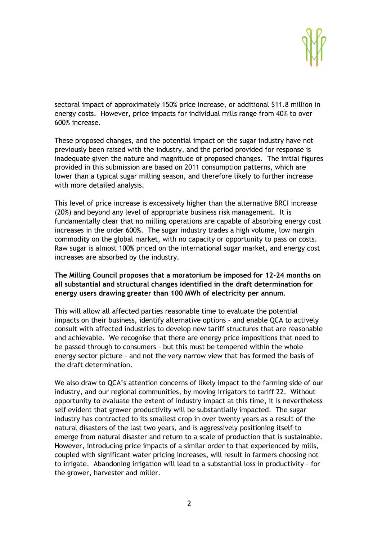sectoral impact of approximately 150% price increase, or additional \$11.8 million in energy costs. However, price impacts for individual mills range from 40% to over 600% increase.

These proposed changes, and the potential impact on the sugar industry have not previously been raised with the industry, and the period provided for response is inadequate given the nature and magnitude of proposed changes. The initial figures provided in this submission are based on 2011 consumption patterns, which are lower than a typical sugar milling season, and therefore likely to further increase with more detailed analysis.

This level of price increase is excessively higher than the alternative BRCI increase (20%) and beyond any level of appropriate business risk management. It is fundamentally clear that no milling operations are capable of absorbing energy cost increases in the order 600%. The sugar industry trades a high volume, low margin commodity on the global market, with no capacity or opportunity to pass on costs. Raw sugar is almost 100% priced on the international sugar market, and energy cost increases are absorbed by the industry.

## **The Milling Council proposes that a moratorium be imposed for 12-24 months on all substantial and structural changes identified in the draft determination for energy users drawing greater than 100 MWh of electricity per annum**.

This will allow all affected parties reasonable time to evaluate the potential impacts on their business, identify alternative options – and enable QCA to actively consult with affected industries to develop new tariff structures that are reasonable and achievable. We recognise that there are energy price impositions that need to be passed through to consumers – but this must be tempered within the whole energy sector picture – and not the very narrow view that has formed the basis of the draft determination.

We also draw to QCA's attention concerns of likely impact to the farming side of our industry, and our regional communities, by moving irrigators to tariff 22. Without opportunity to evaluate the extent of industry impact at this time, it is nevertheless self evident that grower productivity will be substantially impacted. The sugar industry has contracted to its smallest crop in over twenty years as a result of the natural disasters of the last two years, and is aggressively positioning itself to emerge from natural disaster and return to a scale of production that is sustainable. However, introducing price impacts of a similar order to that experienced by mills, coupled with significant water pricing increases, will result in farmers choosing not to irrigate. Abandoning irrigation will lead to a substantial loss in productivity – for the grower, harvester and miller.